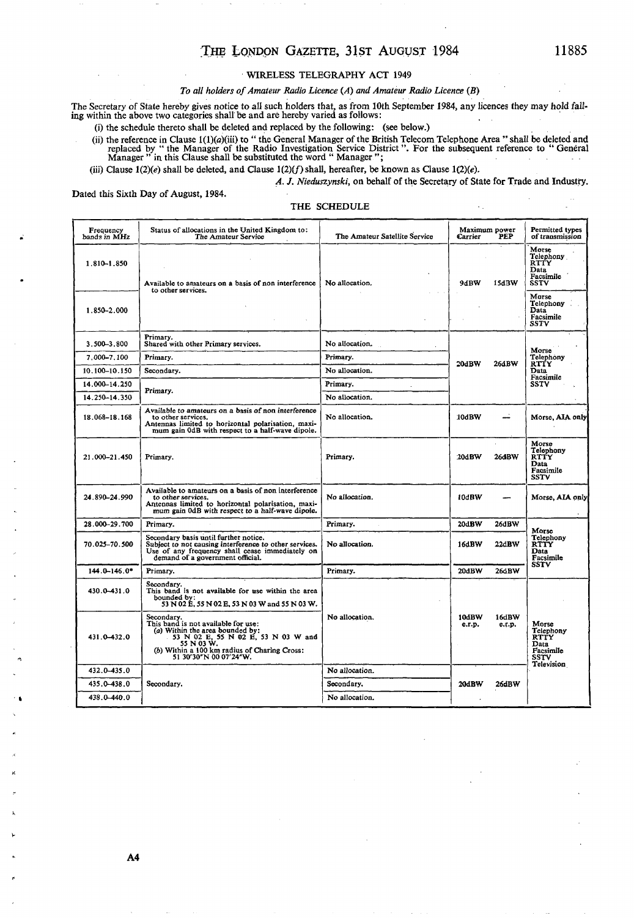# THE LONDON GAZETTE, 31ST AUGUST 1984

## WIRELESS TELEGRAPHY ACT 1949

## *To all holders of Amateur Radio Licence (A) and Amateur Radio Licence (B)*

The Secretary of State hereby gives notice to all such holders that, as from 10th September 1984, any licences they may hold fall-ing within the above two categories shall be and are hereby varied as follows:

(i) the schedule thereto shall be deleted and replaced by the following: (see below.)

(ii) the reference in Clause  $1(1)(a)(iii)$  to "the General Manager of the British Telecom Telephone Area "shall be deleted and replaced by "the Manager of the Radio Investigation Service District". For the subsequent referen

(iii) Clause  $1(2)(e)$  shall be deleted, and Clause  $1(2)(f)$  shall, hereafter, be known as Clause  $1(2)(e)$ .

*A. J. Nieduszynski,* on behalf of the Secretary of State for Trade and Industry.

Dated this Sixth Day of August, 1984.

## THE SCHEDULE

| Frequency<br>bands in MHz  | Status of allocations in the United Kingdom to:<br>The Amateur Service                                                                                                                                              | The Amateur Satellite Service | Maximum power<br>Carrier<br>PEP    | Permitted types<br>of transmission                                                                                 |
|----------------------------|---------------------------------------------------------------------------------------------------------------------------------------------------------------------------------------------------------------------|-------------------------------|------------------------------------|--------------------------------------------------------------------------------------------------------------------|
| 1.810-1.850<br>1.850-2.000 | Available to amateurs on a basis of non interference<br>to other services.                                                                                                                                          | No allocation.                | 9dBW<br>15dBW                      | Morse<br>Telephony.<br><b>RTTY</b><br>Data<br>Facsimile<br>SSTV<br>Morse<br>Telephony<br>Data<br>Facsimile<br>SSTV |
| 3.500-3.800                | Primary.<br>Shared with other Primary services.                                                                                                                                                                     | No allocation.                |                                    | Morse<br>Telephony<br><b>RTTY</b><br>Data<br>Facsimile<br><b>SSTV</b>                                              |
| 7.000-7.100                | Primary.                                                                                                                                                                                                            | Primary.                      | 26dBW<br>20dBW                     |                                                                                                                    |
| 10.100-10.150              | Secondary.                                                                                                                                                                                                          | No allocation.                |                                    |                                                                                                                    |
| 14.000-14.250              |                                                                                                                                                                                                                     | Primary.                      |                                    |                                                                                                                    |
| 14.250-14.350              | Primary.                                                                                                                                                                                                            | No allocation.                |                                    |                                                                                                                    |
| 18.068-18.168              | Available to amateurs on a basis of non interference<br>to other services.<br>Antennas limited to horizontal polarisation, maxi-<br>mum gain 0dB with respect to a half-wave dipole.                                | No allocation.                | :10dBW                             | Morse, AIA only                                                                                                    |
| 21.000-21.450              | Primary.                                                                                                                                                                                                            | Primary.                      | 20dBW<br>26dBW                     | Morse<br>Telephony<br>RTŤY<br>Data<br>Facsimile<br>SSTV                                                            |
| 24.890-24.990              | Available to amateurs on a basis of non interference<br>to other services.<br>Antennas limited to horizontal polarisation, maxi-<br>mum gain 0dB with respect to a half-wave dipole.                                | No allocation.                | 10dBW                              | Morse, AIA only                                                                                                    |
| 28.000-29.700              | Primary.                                                                                                                                                                                                            | Primary.                      | 20dBW<br>26dBW                     |                                                                                                                    |
| 70.025–70.500              | Secondary basis until further notice.<br>Subject to not causing interference to other services.<br>Use of any frequency shall cease immediately on<br>demand of a government official.                              | No allocation.                | 22dBW<br>16dBW                     | Morse<br>Telephony<br>RTTY<br>Data<br>Facsimile                                                                    |
| 144.0-146.0*               | Primary.                                                                                                                                                                                                            | Primary.                      | 20dBW<br>26dBW                     | SSTV                                                                                                               |
| 430.0-431.0                | Secondary.<br>This band is not available for use within the area<br>bounded by:<br>53 N 02 E, 55 N 02 E, 53 N 03 W and 55 N 03 W.                                                                                   |                               |                                    |                                                                                                                    |
| 431.0-432.0                | Secondary.<br>This band is not available for use:<br>(a) Within the area bounded by:<br>53 N 02 E, 55 N 02 E, 53 N 03 W and<br>55 N 03 W.<br>(b) Within a 100 km radius of Charing Cross:<br>51 30'30"N 00 07'24"W. | No allocation.                | 10dBW<br>16dBW<br>e.r.p.<br>e.r.p. | Morse<br>Telephony<br><b>RTTY</b><br>Data<br>Facsimile<br>SSTV<br>Television                                       |
| 432.0-435.0                |                                                                                                                                                                                                                     | $\sim$<br>No allocation.      |                                    |                                                                                                                    |
| 435.0-438.0                | Secondary.                                                                                                                                                                                                          | Secondary.                    | 20dBW<br>26dBW                     |                                                                                                                    |
| 438.0-440.0                |                                                                                                                                                                                                                     | No allocation.                |                                    |                                                                                                                    |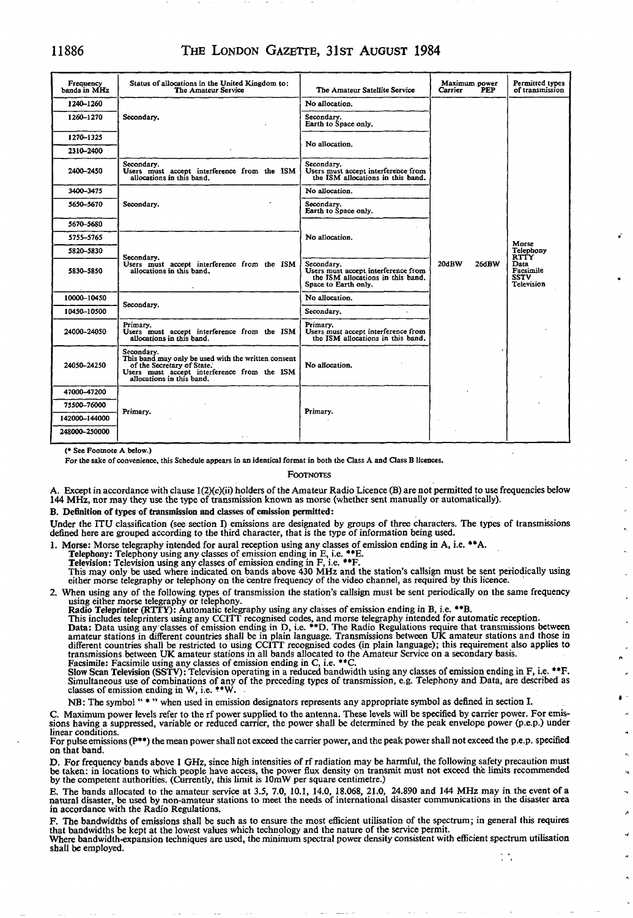## 11886 THE LONDON GAZETTE, 31ST AUGUST 1984

| Frequency<br>hands in MHz | Status of allocations in the United Kingdom to:<br>The Amateur Service                                                                                                      | The Amateur Satellite Service                                                                                  | Maximum power<br>Carrier<br><b>PEP</b> | Permitted types<br>of transmission                                           |
|---------------------------|-----------------------------------------------------------------------------------------------------------------------------------------------------------------------------|----------------------------------------------------------------------------------------------------------------|----------------------------------------|------------------------------------------------------------------------------|
| 1240-1260                 | Secondary,                                                                                                                                                                  | No allocation.                                                                                                 |                                        |                                                                              |
| 1260-1270                 |                                                                                                                                                                             | Secondary.<br>Earth to Space only.                                                                             |                                        |                                                                              |
| 1270-1325                 |                                                                                                                                                                             | No allocation.                                                                                                 |                                        |                                                                              |
| 2310-2400                 |                                                                                                                                                                             |                                                                                                                |                                        |                                                                              |
| 2400-2450                 | Secondarv.<br>Users must accept interference from the ISM<br>allocations in this band.                                                                                      | Secondary.<br>Users must accept interference from<br>the ISM allocations in this band.                         |                                        |                                                                              |
| 3400-3475                 | Secondary.                                                                                                                                                                  | No allocation.                                                                                                 |                                        | Morse<br>Telephony<br>RTTY<br>Data<br>Facsimile<br><b>SSTV</b><br>Television |
| 5650–5670                 |                                                                                                                                                                             | Secondary.<br>Earth to Space only.                                                                             |                                        |                                                                              |
| 5670-5680                 |                                                                                                                                                                             | No allocation.                                                                                                 |                                        |                                                                              |
| 5755–5765                 | Secondary.<br>Users must accept interference from the ISM<br>allocations in this band.                                                                                      |                                                                                                                |                                        |                                                                              |
| 5820-5830                 |                                                                                                                                                                             |                                                                                                                |                                        |                                                                              |
| 5830–5850                 |                                                                                                                                                                             | Secondary.<br>Users must accept interference from<br>the ISM allocations in this band.<br>Space to Earth only. | 20dBW<br>26dBW                         |                                                                              |
| 10000-10450               | Secondary.                                                                                                                                                                  | No allocation.                                                                                                 |                                        |                                                                              |
| 10450-10500               |                                                                                                                                                                             | Secondary.                                                                                                     |                                        |                                                                              |
| 24000-24050               | Primary.<br>Users must accept interference from the ISM<br>allocations in this band.                                                                                        | Primary.<br>Users must accept interference from<br>the ISM allocations in this band.                           |                                        |                                                                              |
| 24050-24250               | Secondary.<br>This band may only be used with the written consent<br>of the Secretary of State.<br>Users must accept interference from the ISM<br>allocations in this band. | No allocation.                                                                                                 |                                        |                                                                              |
| 47000-47200               |                                                                                                                                                                             |                                                                                                                |                                        |                                                                              |
| 75500-76000               | Primary.                                                                                                                                                                    | Primary.                                                                                                       |                                        |                                                                              |
| 142000-144000             |                                                                                                                                                                             |                                                                                                                |                                        |                                                                              |
| 248000-250000             |                                                                                                                                                                             |                                                                                                                |                                        |                                                                              |

(\* See Footnote A below.)

For the sake of convenience, this Schedule appears in an identical format in both the Class A and Class B licences.

### **FOOTNOTES**

A. Except in accordance with clause l(2)(c)(ii) holders of the Amateur Radio Licence (B) are not permitted to use frequencies below 144 MHz, nor may they use the type of transmission known as morse (whether sent manually or automatically).

B. Definition of types of transmission and classes of emission permitted:

Under the ITU classification (see section I) emissions are designated by groups of three characters. The types of transmissions defined here are grouped according to the third character, that is the type of information being used.

1. Morse: Morse telegraphy intended for aural reception using any classes of emission ending in A, i.e. \*\*A.<br>Telephony: Telephony using any classes of emission ending in E, i.e. \*\*E.

Television: Television using any classes of emission ending in F, i.e. \*\*F. This may only be used where indicated on bands above 430 MHz and the station's callsign must be sent periodically using either morse telegraphy or telephony on the centre frequency of the video channel, as required by this licence.

2. When using any of the following types of transmission the station's callsign must be sent periodically on the same frequency

using either morse telegraphy or telephony.<br>Radio Teleprinter (RTTY): Automatic telegraphy using any classes of emission ending in B, i.e. \*\*B.<br>This includes teleprinters using any CCITT recognised codes, and morse telegra amateur stations in different countries shall be in plain language. Transmissions between UK amateur stations and those in<br>different countries shall be restricted to using CCITT recognised codes (in plain language); this r transmissions between UK amateur stations in all bands allocated to the Amateur Service on a secondary basis.

Facsimile: Facsimile using any classes of emission ending in C, i.e. \*\*C.<br>Slow Scan Television (SSTV): Television operating in a reduced bandwidth using any classes of emission ending in F, i.e. \*\*F.<br>Simultaneous use of co

NB: The symbol " \* " when used in emission designators represents any appropriate symbol as defined in section I.

C. Maximum power levels refer to the rf power supplied to the antenna. These levels will be specified by carrier power. For emissions having a suppressed, variable or reduced carrier, the power shall be determined by the peak envelope power (p.e.p.) under linear conditions.

For pulse emissions (P\*\*) the mean power shall not exceed the carrier power, and the peak power shall not exceed the p.e.p. specified on that band.

D. For frequency bands above 1 GHz, since high intensities of rf radiation may be harmful, the following safety precaution must<br>be taken: in locations to which people have access, the power flux density on transmit must no

 $\mathbf{\hat{z}}$ 

A

E. The bands allocated to the amateur service at 3.5, 7.0, 10.1, 14.0, 18.068, 21.0, 24.890 and 144 MHz may in the event of a<br>natural disaster, be used by non-amateur stations to meet the needs of international disaster co in accordance with the Radio Regulations.

F. The bandwidths of emissions shall be such as to ensure the most efficient utilisation of the spectrum; in general this requires that bandwidths be kept at the lowest values which technology and the nature of the service permit.

Where bandwidth-expansion techniques are used, the minimum spectral power density consistent with efficient spectrum utilisation shall be employed. $\mathcal{L}_{\mathcal{A}}$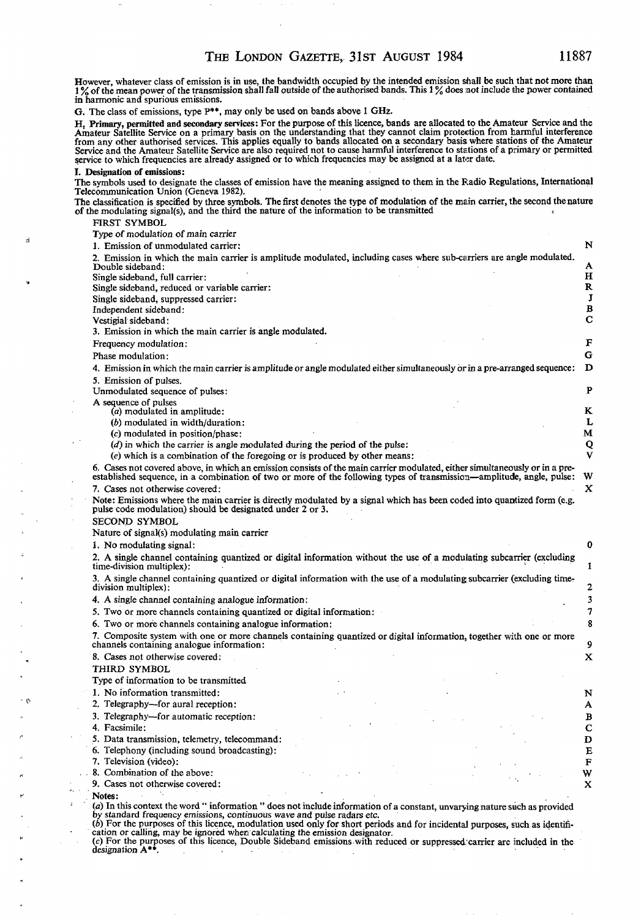However, whatever class of emission is in use, the bandwidth occupied by the intended emission shall be such that not more than  $\frac{1}{2}$ , of the mean power of the transmission shall fall outside of the authorised bands. This  $1\%$  does not include the power contained in harmonic and spurious emissions.

G. The class of emissions, type P\*\*, may only be used on bands above 1 GHz.

H. Primary, permitted and secondary services: For the purpose of this licence, bands are allocated to the Amateur Service and the Amateur Satellite Service on a primary basis on the understanding that they cannot claim protection from harmful interference from any other authorised services. This applies equally to bands allocated on a secondary basis where stations of the Amateur<br>Service and the Amateur Satellite Service are also required not to cause harmful interference t service to which frequencies are already assigned or to which frequencies may be assigned at a later date.

### I. Designation of emissions:

The symbols used to designate the classes of emission have the meaning assigned to them in the Radio Regulations, International Telecommunication Union (Geneva 1982).

The classification is specified by three symbols. The first denotes the type of modulation of the main carrier, the second the nature of the modulating signal(s), and the third the nature of the information to be transmitted

FIRST SYMBOL

Type of modulation of main carrier

1. Emission of unmodulated carrier: N 2. Emission in which the main carrier is amplitude modulated, including cases where sub-carriers are angle modulated. Double sideband: A<br>
Single sideband. full carrier: A<br>
H Single sideband, full carrier: H<br>Single sideband, reduced or variable carrier: R Single sideband, reduced or variable carrier: R<br>Single sideband, suppressed carrier: T Single sideband, suppressed carrier: J<br>Independent sideband: B Independent sideband: B<br>
Pestieial sideband: C Vestigial sideband: 3. Emission in which the main carrier is angle modulated. Frequency modulation: Frequency modulation: F<br>Phase modulation: G Phase modulation: 4. Emission in which the main carrier is amplitude or angle modulated either simultaneously or in a pre-arranged sequence: D 5. Emission of pulses. Unmodulated sequence of pulses: P A sequence of pulses *(a)* modulated in amplitude: K *(b)* modulated in width/duration: L<br>(c) modulated in position/phase: M  $(c)$  modulated in position/phase: *(d)* in which the carrier is angle modulated during the period of the pulse: Q<br>(e) which is a combination of the foregoing or is produced by other means: V *(e)* which is a combination of the foregoing or is produced by other means: 6. Cases not covered above, in which an emission consists of the main carrier modulated, either simultaneously or in a preestablished sequence, in a combination of two or more of the following types of transmission—amplitude, angle, pulse: W 7. Cases not otherwise covered:  $X$ Note: Emissions where the main carrier is directly modulated by a signal which has been coded into quantized form (e.g. pulse code modulation) should be designated under 2 or 3. SECOND SYMBOL Nature of signal(s) modulating main carrier 1. No modulating signal: 0 2. A single channel containing quantized or digital information without the use of a modulating subcarrier (excluding 1 A single channel containing quantized or digital information with the use of a modulating subcarrier (excluding timedivision multiplex): 2 4. A single channel containing analogue information: 3<br>5. Two or more channels containing quantized or digital information: 3 5. Two or more channels containing quantized or digital information: 7 6. Two or more channels containing analogue information: 8 7. Composite system with one or more channels containing quantized or digital information, together with one or more channels containing analogue information: 9 8. Cases not otherwise covered: X THIRD SYMBOL Type of information to be transmitted 1. No information transmitted: N

2. Telegraphy—for aural reception: A

3. Telegraphy—for automatic reception: B

4. Facsimile: C

5. Data transmission, telemetry, telecommand: D

6. Telephony (including sound broadcasting): E

7. Television (video): . . F

. . 8. Combination of the above: . • W

9. Cases not otherwise covered:  $X$ 

. Notes: • "• ' • • . *(a)* In this context the word " information " does not include information of a constant, unvarying nature such as provided by standard frequency emissions, continuous wave and pulse radars etc.

(6) For the purposes of this licence, modulation used only for short periods and for incidental purposes, such as identification or calling, may be ignored when calculating the emission designator.

(c) For the purposes of this licence, Double Sideband emissions with reduced or suppressed carrier are included in the designation  $A^{**}$ .